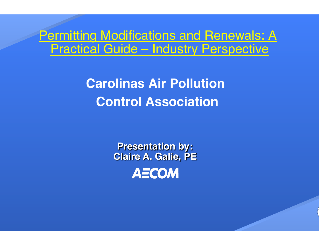#### Permitting Modifications and Renewals: A Practical Guide – Industry Perspective

**Carolinas Air Pollution Control Association**

> **Presentation by: Claire A. Galie, PEAECOM**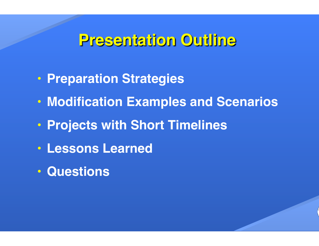#### **Presentation Outline**

- **Preparation Strategies**
- **Modification Examples and Scenarios**
- **Projects with Short Timelines**
- **Lessons Learned**
- **Questions**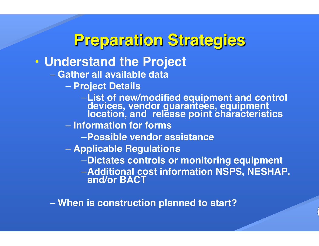#### **Preparation Strategies**

#### • **Understand the Project**

- **Gather all available data**
	- **Project Details**
		- –**List of new/modified equipment and control devices, vendor guarantees, equipment location, and release point characteristics**
	- **Information for forms**
		- –**Possible vendor assistance**
	- **Applicable Regulations**
		- –**Dictates controls or monitoring equipment**
		- –**Additional cost information NSPS, NESHAP, and/or BACT**

– **When is construction planned to start?**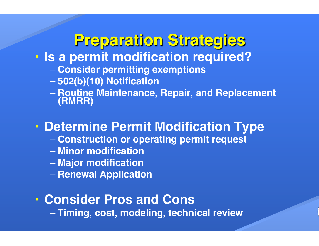### **Preparation Strategies**

- **Is a permit modification required?**
	- **Consider permitting exemptions**
	- **502(b)(10) Notification**
	- **Routine Maintenance, Repair, and Replacement (RMRR)**

#### • **Determine Permit Modification Type**

- **Construction or operating permit request**
- **Minor modification**
- **Major modification**
- **Renewal Application**
- **Consider Pros and Cons**

– **Timing, cost, modeling, technical review**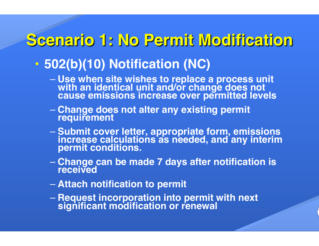## **Scenario 1: No Permit Modification**

#### • **502(b)(10) Notification (NC)**

- **Use when site wishes to replace a process unit with an identical unit and/or change does not cause emissions increase over permitted levels**
- **Change does not alter any existing permit requirement**
- **Submit cover letter, appropriate form, emissions increase calculations as needed, and any interim permit conditions.**
- **Change can be made 7 days after notification is received**
- **Attach notification to permit**
- **Request incorporation into permit with next significant modification or renewal**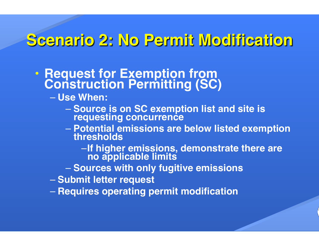# **Scenario 2: No Permit Modification**

- **Request for Exemption from Construction Permitting (SC)**
	- **Use When:**
		- **Source is on SC exemption list and site is requesting concurrence**
		- **Potential emissions are below listed exemption thresholds**
			- –**If higher emissions, demonstrate there are no applicable limits**
		- **Sources with only fugitive emissions**
	- **Submit letter request**
	- **Requires operating permit modification**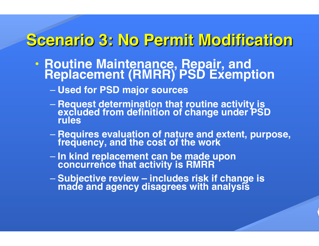### **Scenario 3: No Permit Modification**

- **Routine Maintenance, Repair, and Replacement (RMRR) PSD Exemption** 
	- **Used for PSD major sources**
	- **Request determination that routine activity is excluded from definition of change under PSD rules**
	- **Requires evaluation of nature and extent, purpose, frequency, and the cost of the work**
	- **In kind replacement can be made upon concurrence that activity is RMRR**
	- **Subjective review includes risk if change is made and agency disagrees with analysis**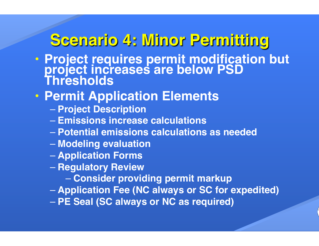### **Scenario 4: Minor Permitting**

• **Project requires permit modification but project increases are below PSD Thresholds**

#### • **Permit Application Elements**

- **Project Description**
- **Emissions increase calculations**
- **Potential emissions calculations as needed**
- **Modeling evaluation**
- **Application Forms**
- **Regulatory Review** 
	- **Consider providing permit markup**
- **Application Fee (NC always or SC for expedited)**
- **PE Seal (SC always or NC as required)**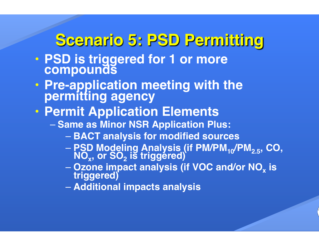### **Scenario 5: PSD Permitting**

- **PSD is triggered for 1 or more compounds**
- **Pre-application meeting with the permitting agency**
- **Permit Application Elements**
	- **Same as Minor NSR Application Plus:**
		- **BACT analysis for modified sources**
		- **PSD Modeling Analysis (if PM/PM10/PM2.5, CO, NOx, or SO2 is triggered)**
		- **Ozone impact analysis (if VOC and/or NOx is triggered)**
		- **Additional impacts analysis**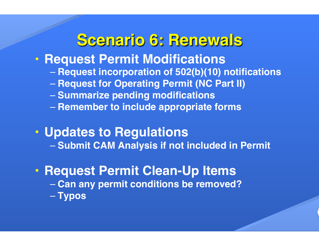#### **Scenario 6: Renewals**

- **Request Permit Modifications**
	- **Request incorporation of 502(b)(10) notifications**
	- **Request for Operating Permit (NC Part II)**
	- **Summarize pending modifications**
	- **Remember to include appropriate forms**
- **Updates to Regulations** – **Submit CAM Analysis if not included in Permit**
- **Request Permit Clean-Up Items** – **Can any permit conditions be removed?** – **Typos**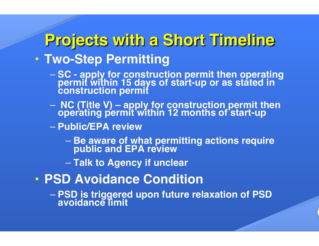#### **Projects with a Short Timeline** • **Two-Step Permitting**

- **SC apply for construction permit then operating permit within 15 days of start-up or as stated in construction permit**
- – **NC (Title V) apply for construction permit then operating permit within 12 months of start-up**
- **Public/EPA review**
	- **Be aware of what permitting actions require public and EPA review**
	- **Talk to Agency if unclear**
- **PSD Avoidance Condition**
	- **PSD is triggered upon future relaxation of PSD avoidance limit**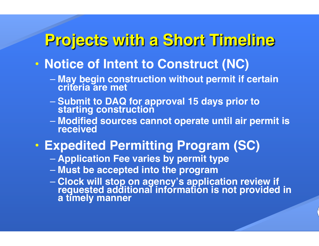#### **Projects with a Short Timeline**

- **Notice of Intent to Construct (NC)**
	- **May begin construction without permit if certain criteria are met**
	- **Submit to DAQ for approval 15 days prior to starting construction**
	- **Modified sources cannot operate until air permit is received**
- **Expedited Permitting Program (SC)**
	- **Application Fee varies by permit type**
	- **Must be accepted into the program**
	- **Clock will stop on agency's application review if requested additional information is not provided in a timely manner**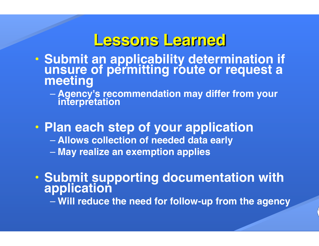#### **Lessons Learned**

- **Submit an applicability determination if unsure of permitting route or request a meeting**
	- **Agency's recommendation may differ from your interpretation**
- **Plan each step of your application**
	- **Allows collection of needed data early**
	- **May realize an exemption applies**
- **Submit supporting documentation with application**

– **Will reduce the need for follow-up from the agency**